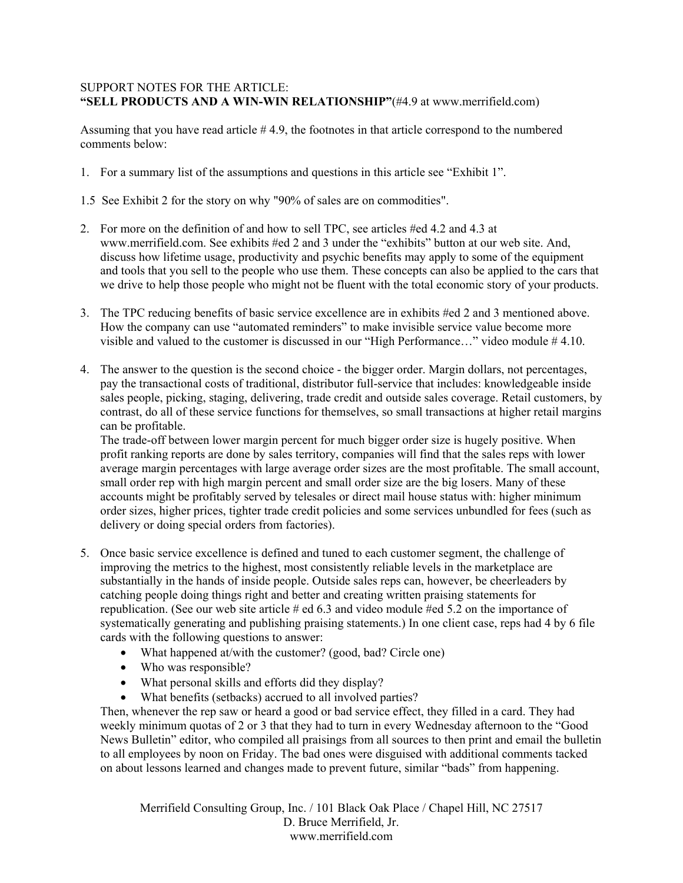## SUPPORT NOTES FOR THE ARTICLE: **"SELL PRODUCTS AND A WIN-WIN RELATIONSHIP"**(#4.9 at www.merrifield.com)

Assuming that you have read article # 4.9, the footnotes in that article correspond to the numbered comments below:

- 1. For a summary list of the assumptions and questions in this article see "Exhibit 1".
- 1.5 See Exhibit 2 for the story on why "90% of sales are on commodities".
- 2. For more on the definition of and how to sell TPC, see articles #ed 4.2 and 4.3 at www.merrifield.com. See exhibits #ed 2 and 3 under the "exhibits" button at our web site. And, discuss how lifetime usage, productivity and psychic benefits may apply to some of the equipment and tools that you sell to the people who use them. These concepts can also be applied to the cars that we drive to help those people who might not be fluent with the total economic story of your products.
- 3. The TPC reducing benefits of basic service excellence are in exhibits #ed 2 and 3 mentioned above. How the company can use "automated reminders" to make invisible service value become more visible and valued to the customer is discussed in our "High Performance…" video module # 4.10.
- 4. The answer to the question is the second choice the bigger order. Margin dollars, not percentages, pay the transactional costs of traditional, distributor full-service that includes: knowledgeable inside sales people, picking, staging, delivering, trade credit and outside sales coverage. Retail customers, by contrast, do all of these service functions for themselves, so small transactions at higher retail margins can be profitable.

The trade-off between lower margin percent for much bigger order size is hugely positive. When profit ranking reports are done by sales territory, companies will find that the sales reps with lower average margin percentages with large average order sizes are the most profitable. The small account, small order rep with high margin percent and small order size are the big losers. Many of these accounts might be profitably served by telesales or direct mail house status with: higher minimum order sizes, higher prices, tighter trade credit policies and some services unbundled for fees (such as delivery or doing special orders from factories).

- 5. Once basic service excellence is defined and tuned to each customer segment, the challenge of improving the metrics to the highest, most consistently reliable levels in the marketplace are substantially in the hands of inside people. Outside sales reps can, however, be cheerleaders by catching people doing things right and better and creating written praising statements for republication. (See our web site article # ed 6.3 and video module #ed 5.2 on the importance of systematically generating and publishing praising statements.) In one client case, reps had 4 by 6 file cards with the following questions to answer:
	- What happened at/with the customer? (good, bad? Circle one)
	- Who was responsible?
	- What personal skills and efforts did they display?
	- What benefits (setbacks) accrued to all involved parties?

Then, whenever the rep saw or heard a good or bad service effect, they filled in a card. They had weekly minimum quotas of 2 or 3 that they had to turn in every Wednesday afternoon to the "Good News Bulletin" editor, who compiled all praisings from all sources to then print and email the bulletin to all employees by noon on Friday. The bad ones were disguised with additional comments tacked on about lessons learned and changes made to prevent future, similar "bads" from happening.

Merrifield Consulting Group, Inc. / 101 Black Oak Place / Chapel Hill, NC 27517 D. Bruce Merrifield, Jr. www.merrifield.com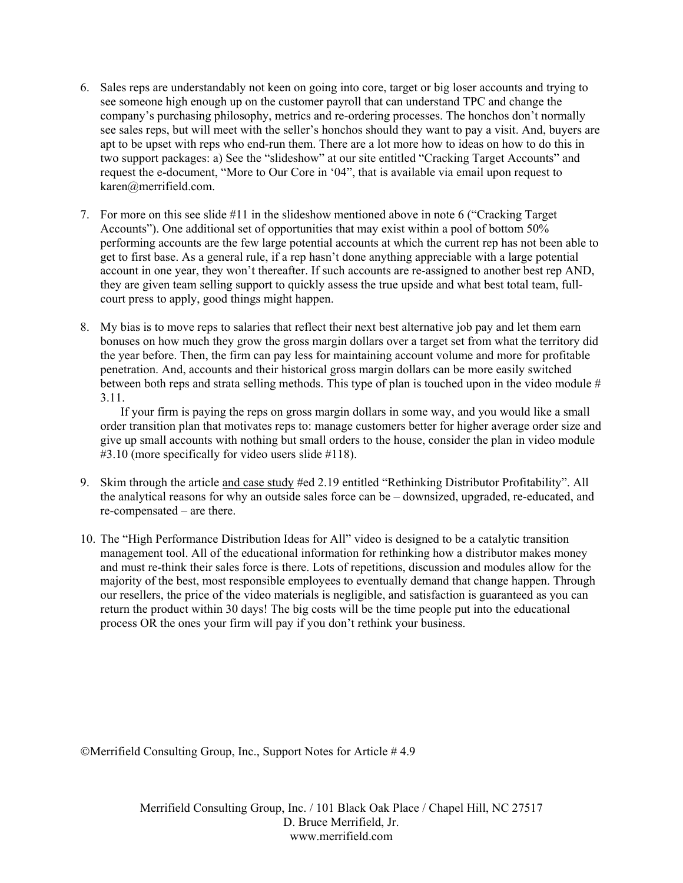- 6. Sales reps are understandably not keen on going into core, target or big loser accounts and trying to see someone high enough up on the customer payroll that can understand TPC and change the company's purchasing philosophy, metrics and re-ordering processes. The honchos don't normally see sales reps, but will meet with the seller's honchos should they want to pay a visit. And, buyers are apt to be upset with reps who end-run them. There are a lot more how to ideas on how to do this in two support packages: a) See the "slideshow" at our site entitled "Cracking Target Accounts" and request the e-document, "More to Our Core in '04", that is available via email upon request to karen@merrifield.com.
- 7. For more on this see slide #11 in the slideshow mentioned above in note 6 ("Cracking Target Accounts"). One additional set of opportunities that may exist within a pool of bottom 50% performing accounts are the few large potential accounts at which the current rep has not been able to get to first base. As a general rule, if a rep hasn't done anything appreciable with a large potential account in one year, they won't thereafter. If such accounts are re-assigned to another best rep AND, they are given team selling support to quickly assess the true upside and what best total team, fullcourt press to apply, good things might happen.
- 8. My bias is to move reps to salaries that reflect their next best alternative job pay and let them earn bonuses on how much they grow the gross margin dollars over a target set from what the territory did the year before. Then, the firm can pay less for maintaining account volume and more for profitable penetration. And, accounts and their historical gross margin dollars can be more easily switched between both reps and strata selling methods. This type of plan is touched upon in the video module # 3.11.

If your firm is paying the reps on gross margin dollars in some way, and you would like a small order transition plan that motivates reps to: manage customers better for higher average order size and give up small accounts with nothing but small orders to the house, consider the plan in video module #3.10 (more specifically for video users slide #118).

- 9. Skim through the article and case study #ed 2.19 entitled "Rethinking Distributor Profitability". All the analytical reasons for why an outside sales force can be – downsized, upgraded, re-educated, and re-compensated – are there.
- 10. The "High Performance Distribution Ideas for All" video is designed to be a catalytic transition management tool. All of the educational information for rethinking how a distributor makes money and must re-think their sales force is there. Lots of repetitions, discussion and modules allow for the majority of the best, most responsible employees to eventually demand that change happen. Through our resellers, the price of the video materials is negligible, and satisfaction is guaranteed as you can return the product within 30 days! The big costs will be the time people put into the educational process OR the ones your firm will pay if you don't rethink your business.

Merrifield Consulting Group, Inc., Support Notes for Article # 4.9

Merrifield Consulting Group, Inc. / 101 Black Oak Place / Chapel Hill, NC 27517 D. Bruce Merrifield, Jr. www.merrifield.com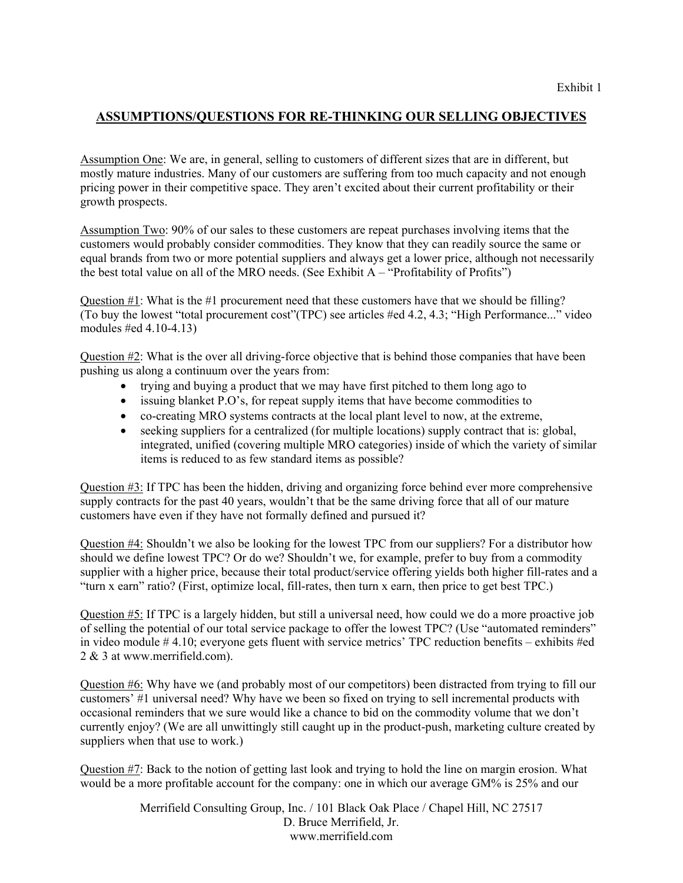## **ASSUMPTIONS/QUESTIONS FOR RE-THINKING OUR SELLING OBJECTIVES**

Assumption One: We are, in general, selling to customers of different sizes that are in different, but mostly mature industries. Many of our customers are suffering from too much capacity and not enough pricing power in their competitive space. They aren't excited about their current profitability or their growth prospects.

Assumption Two: 90% of our sales to these customers are repeat purchases involving items that the customers would probably consider commodities. They know that they can readily source the same or equal brands from two or more potential suppliers and always get a lower price, although not necessarily the best total value on all of the MRO needs. (See Exhibit  $A -$ "Profitability of Profits")

Question  $\#1$ : What is the  $\#1$  procurement need that these customers have that we should be filling? (To buy the lowest "total procurement cost"(TPC) see articles #ed 4.2, 4.3; "High Performance..." video modules #ed 4.10-4.13)

Question #2: What is the over all driving-force objective that is behind those companies that have been pushing us along a continuum over the years from:

- trying and buying a product that we may have first pitched to them long ago to
- issuing blanket P.O's, for repeat supply items that have become commodities to
- co-creating MRO systems contracts at the local plant level to now, at the extreme,
- seeking suppliers for a centralized (for multiple locations) supply contract that is: global, integrated, unified (covering multiple MRO categories) inside of which the variety of similar items is reduced to as few standard items as possible?

Question #3: If TPC has been the hidden, driving and organizing force behind ever more comprehensive supply contracts for the past 40 years, wouldn't that be the same driving force that all of our mature customers have even if they have not formally defined and pursued it?

Question #4: Shouldn't we also be looking for the lowest TPC from our suppliers? For a distributor how should we define lowest TPC? Or do we? Shouldn't we, for example, prefer to buy from a commodity supplier with a higher price, because their total product/service offering yields both higher fill-rates and a "turn x earn" ratio? (First, optimize local, fill-rates, then turn x earn, then price to get best TPC.)

Question #5: If TPC is a largely hidden, but still a universal need, how could we do a more proactive job of selling the potential of our total service package to offer the lowest TPC? (Use "automated reminders" in video module # 4.10; everyone gets fluent with service metrics' TPC reduction benefits – exhibits #ed 2 & 3 at www.merrifield.com).

Question #6: Why have we (and probably most of our competitors) been distracted from trying to fill our customers' #1 universal need? Why have we been so fixed on trying to sell incremental products with occasional reminders that we sure would like a chance to bid on the commodity volume that we don't currently enjoy? (We are all unwittingly still caught up in the product-push, marketing culture created by suppliers when that use to work.)

Question #7: Back to the notion of getting last look and trying to hold the line on margin erosion. What would be a more profitable account for the company: one in which our average GM% is 25% and our

> Merrifield Consulting Group, Inc. / 101 Black Oak Place / Chapel Hill, NC 27517 D. Bruce Merrifield, Jr. www.merrifield.com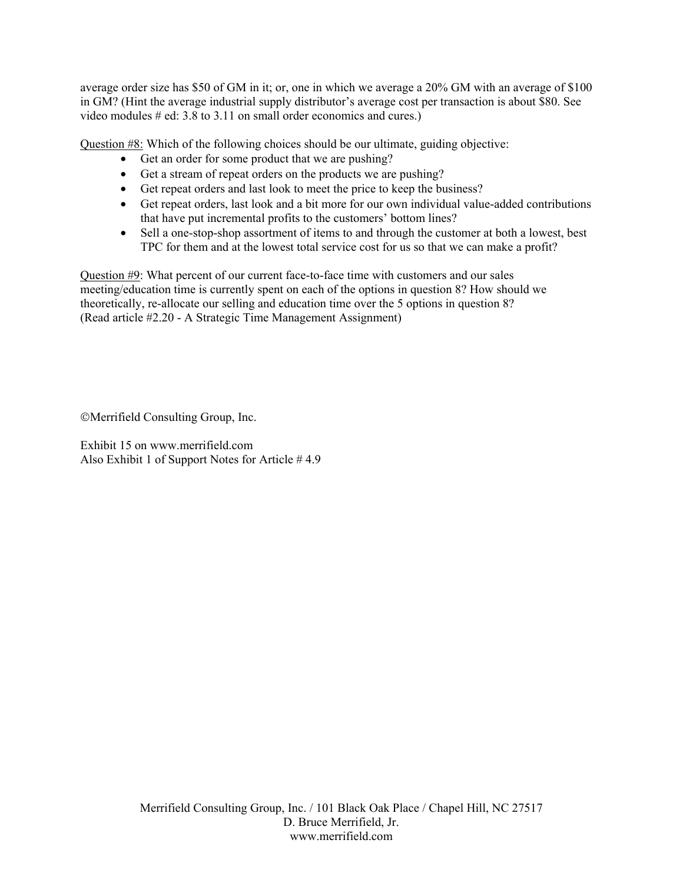average order size has \$50 of GM in it; or, one in which we average a 20% GM with an average of \$100 in GM? (Hint the average industrial supply distributor's average cost per transaction is about \$80. See video modules # ed: 3.8 to 3.11 on small order economics and cures.)

Question #8: Which of the following choices should be our ultimate, guiding objective:

- Get an order for some product that we are pushing?
- Get a stream of repeat orders on the products we are pushing?
- Get repeat orders and last look to meet the price to keep the business?
- Get repeat orders, last look and a bit more for our own individual value-added contributions that have put incremental profits to the customers' bottom lines?
- Sell a one-stop-shop assortment of items to and through the customer at both a lowest, best TPC for them and at the lowest total service cost for us so that we can make a profit?

Question #9: What percent of our current face-to-face time with customers and our sales meeting/education time is currently spent on each of the options in question 8? How should we theoretically, re-allocate our selling and education time over the 5 options in question 8? (Read article #2.20 - A Strategic Time Management Assignment)

Merrifield Consulting Group, Inc.

Exhibit 15 on www.merrifield.com Also Exhibit 1 of Support Notes for Article # 4.9